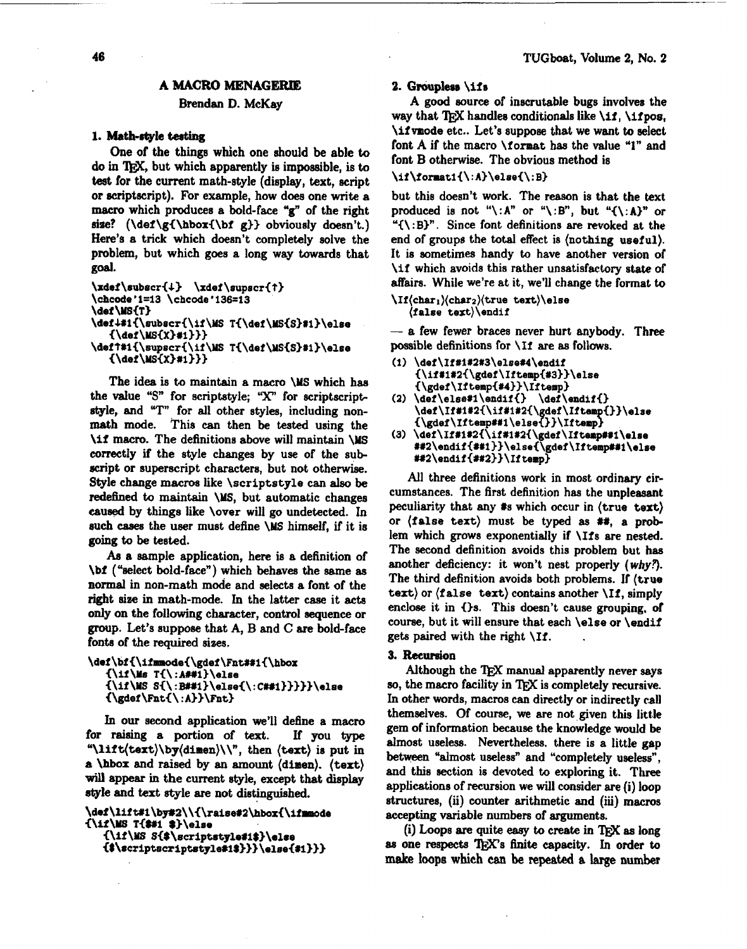## A **MACRO MENAGERIE**

### Brendan D. McKay

### 1. Math-rfyle **tasting**

One of the things which one should be able to do in TFX, but which apparently is impossible, is to teet for the current math-style (display, text, script or scriptscript). For example, how does one write a macro which produces a bold-face "g" of the right size?  $\det \gtrsim{\hbar}$  obviously doesn't.) Here's a trick which doesn't completely solve the problem, but which goes a long way towards that **goal.** 

 $\xdef\sub{supscr} \xdef\sub{min}$ \chcode'1=13 \chcode'136=13 \def\MS{T} \def4#1{\subscr{\if\MS T{\def\MS{S}#i}\else  $\{\det\MS(X\#1)\}\$ \def1#1{\supscr{\if\MS T{\def\MS{S}#1}\else  $\{\det\MS\{x\}*1\}\}$ 

The idea is to maintain a macro **\MS** which has the value "S" for scriptstyle; "X" for scriptscriptstyle, and **"T\*** for all other styles, including nonmath mode. This **can** then be **tested** using the \if macro. The definitions above will maintain **\US**  correctly if the style changes by use of the subscript or superscript characters, but not otherwise. Style change macros like \scriptstyle can **also** be redefined **to** maintain **\US,** but automatic changes caused by things like \over will go undetected. In such cases the user must define **\MS** himself, if it is going to be tested.

**As** a aample application, here is a definition of \bf ("select bold-facen) which behaves the **same** as normal in non-math mode and selects a font of the right size in math-mode. In the latter case it acts only on the following character, control sequence or **group.** Let's suppose that A, B and C are bold-face fonts of the required sizes.

```
\def\bf{\ifmmode{\gdef\Fnt##1{\hbox
  \{\iota_1\if \Ms T\{\iota_2\}\else
  \{\g{def\Fnt\.\:A}\} Fnt }
```
**In** our second application we'll define a macro for raising a portion of text. If you **type 'Vift(tert)\by(dimen)\\",** then (text) ie put in a **\hbox** and raised by an amount (diaen). (text) will appear in the current etyle, except that display style and text **style are** not distinguished.

```
\def\lift#1\by#2\\{\raise#2\hbox{\ifmmode
\{\iota x\ T\ + \iota{\if\MS S{$\scriptstyle#1$}\else
  {\{
```
# 2. Groupless \ifs

A good source of inscrutable bugs involves the way that  $T_F X$  handles conditionals like  $\iota$ if,  $\iota$ if pos, \if mode etc.. Let's suppose that we want **to** select font **A** if the macro \format **has** the value **"1"** and font **B** otherwise. The obvious method is

# $\it \it \ifmmode\ifmmode\ifmmode\else\fi\fi\; \it \ifmmode\ifmmode\else\fi\fi\; \it \ifmmode\else\fi\; \it \ifmmode\else\fi\fi\; \it \ifmmode\else\fi\; \it \ifmmode\else\fi\; \it \ifmmode\else\fi\; \it \ifmmode\else\fi\; \it \ifmmode\else\fi\; \it \ifmmode\else\fi\; \it \ifmmode\else\fi\; \it \ifmmode\else\fi\; \it \ifmmode\else\fi\; \it \ifmmode\else\fi\; \it \ifmmode\else\fi\; \it \ifmmode\else\fi\; \it \ifmmode\else$

but this doesn't work. The reason is that the **text**  produced is not "\ **:A"** or "\ :B", but **"(\:A)"** or " $\{\setminus: B\}$ ". Since font definitions are revoked at the end of group8 the **total** effect is (nothing useful). It is sometimes handy to have another version of \if which avoids this rather unsatisfactory state of affairs. While we're at it, we'll change the format to  $\iint \langle char_1 \rangle \langle true text \rangle = 0$ 

 $\langle false \text{ text} \rangle$ 

 $-$  a few fewer braces never hurt anybody. Three possible definitions for \If are as follows.

- (1) \def \If#iW2#3\else#4\endif  ${\left\{\left\{ \mathcal{L}\right\} \right\} \} \else $\mathcal{L} = \left\{\left\{\left\{\mathcal{L}\right\} \right\} \right\} \right\}$  ${\sqrt{1}temp{#4}}\$
- (2)  $\det \ell = \del{\} \del{\}$ \def\If#1#2{\if#1#2{\gdef\Iftemp{}}\else  ${\bf \{(gdef\If temp**1\leq B\}. If temp) }$
- **(3) \def\1f#l#2~\if#1#2i\gdef** \Iftenp##l\else ##2\endif{##1}}\else{\gdef\Iftemp##i\else  $#2\end{if}$  $\{1,2\}$ )

All three definitions work in most ordinary circumstances. The first definition has the unpleasant peculiarity that any  $*$ s which occur in  $\langle$ true text $\rangle$ or (false text) must be typed as ##, a **prob**  lem which grows exponentially if \Ifs are nested. The second definition avoids this problem but has another deficiency: it won't nest properly **(why?).**  The third definition avoids both problems. IT (true text) or  $\langle$  false text) contains another  $\setminus$  If, simply enclose it in  $\{ \}$ s. This doesn't cause grouping, of course, but it will ensure that each **\else** or \endif gets paired with the right \If.

#### **3. Recureion**

Although the TFX manual apparently never says so, the macro facility in TFX is completely recursive. In other words, macros can directly or indirectly call themselves. Of course, we are not given this little gem of information because the knowledge would be almost useless. Nevertheless. there is a little gap between "almost useless" and "completely useless", and this section is devoted to exploring it. Three applications of recursion we will consider are (i) loop structures, **(ii)** counter arithmetic and **(iii) macros**  accepting variable numbers of arguments.

(i) Loops are quite **easy** to create in 'I@C **as** long as one respects T<sub>E</sub>X's finite capacity. In order to **make imps which can be** repeated a large number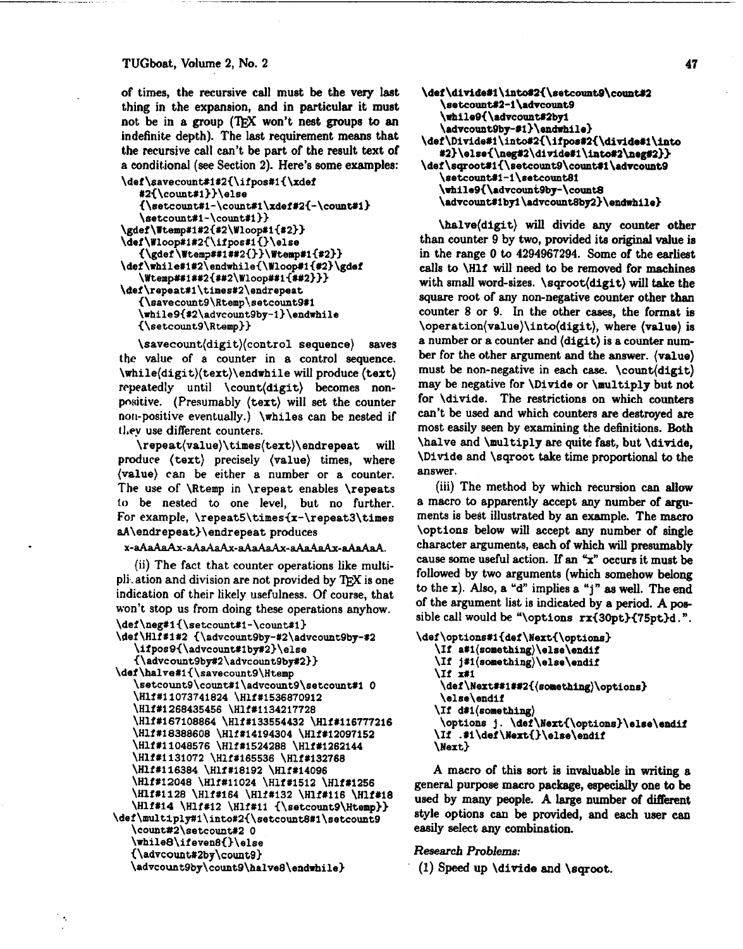of times, the recursive call must be the very last thing in the expansion, and in particular it must not be in a group (TFX won't nest groups to an indefinite depth). The last requirement means that the recursive call can't be part of the result text of a conditional (see Section **2).** Here's some examples:

```
\def\savecount#1#2{\ifpos#1{\xdef
   #2{\count#1}}\else
   \{\setminus \mathsf{setcount#1}-\mathsf{z#1}\x\text{d#2}\{-\count#1\}\setcount#l-\count#i)) 
\gdef \~temp#l#2{#2\~loop#l<#2)) 
\def \~loop#l#2~\ifpostiC)\else 
   i\gdef \~temp##l##2{>)\~teap#l<#2)) 
\def\while#1#2\endwhile{\Wloop#1{#2}\gdef
    \Wtemp##l##2(##2\~loop##1(##2))) 
\def \repeat#l\times#2\endrepeat 
   <\savecount9\~tem~\.setcount9#1 
   \while9{#2\advcount9by-l)\endwhile 
   \{\setminus \text{setcount9} \times \text{temp}\}
```
**\savecount(digit)(control** sequence) saves **the** value of a counter in a control sequence. **\while(digit)(text)\endwhile** will produce (text) repeatedly until \count(digit) becomes non**positive.** (Presumably (text) will set the counter non-positive eventually.) \whiles can be nested if **tl.ey use** different counters.

**\repeat(value)\times(text)\endrepeat** will produce (text) precisely (value) times, where (value) can be either a number or a counter. The use of \Rtemp in \repeat enables \repeats lo be nested to one level, but no further. For example, **\repeat5\times(x-\repeat3\times**  aA\endrepeat)\endrepeat produces

### x-aAaAaAx-aAaAaAx-aAaAaAx-aAaAaAx-aAaAaA.

(ii) The fact that counter operations like multipli. ation and division are not provided by TEX is one indication of their likely usefulness. Of course, that won't stop us from doing these operations anyhow. \def **\neg#l{\setcount#l-\count#l)**  \def \Hlf #l#2 **(\advcount9by-#2\advcount9by-#2**  \ifpos9~\advcount#l by#2)\else  $\{\a{vcount9b}$ <sup>#2</sup>\advcount9b $\#2\}$ \def\halve#1{\savecount9\Htemp **\setcount9\count#l\advcount9\setcount#l 0**  \H1f#11073741824 \H1f#1536870912 \Hlf #l268435456 \Hlf#1134217728 \Hlf#167108864 \Hlf#133554432 \Hlf#116777216 \H1f#18388608 \H1f#14194304 \H1f#12097152 \H1f#11048576 \H1f#1524288 \H1f#1262144 \Hlf#1131072 \Hlf#165536 \Hlf#132768 \H1f#116384 \H1f#18192 \H1f#14096 \Hlft12048 \Hlf#ll024 \Hlf#1512 \Hlf#1256 \H1f#1128 \H1f#164 \H1f#132 \H1f#116 \H1f#18  $\H11*14 \ H11*12 \ H11*11 {setcount9\Htemp}$ **\def \multiply#l\into#2~\setcount8#l\setcount9**  \count#2\setcouat#2 **0**  \while8\if even8{)\else

**(\advcount#2by\couatS)** 

**\advcount9by\count9\halve8\endrhile)** 

```
\def\divide#1\into#2{\setcount9\count#2
   \setcount#2-1\advcount9
   \while9{\advcount#2by1
   \advcount9bv-#1}\endwhile}
\def\Divide#1\into#2{\ifpos#2{\divide#1\into
  #2}\else{\neg#2\divide#1\into#2\neg#2}}
\def\sqroot#1{\setcount9\count#1\advcount9
   \setcount#1-1\setcount81
   \while9{\advcount9bv-\count8
```
\advcount#1by1\advcount8by2}\endwhile}

\halve(digit) will divide any counter other than counter 9 by two, provided its original value is in the range **0** to 4294967294. Some of the earliest calls to \Hlf will need to be removed for machines with small word-sizes. \sqroot(digit) will take the square root of any non-negative counter other than counter 8 or 9. In the other **cases,** the format is **\operation(value)\into(digit),** where (value) is a number or a counter and (digit) is a counter number for the other argument and the answer. (value) must be non-negative in each **case.** \count(digit) may be negative for *\Divide* or *\multiply but not* for **\divide.** The restrictions on which counters can't be used and which counters are destroyed **are**  most easily seen by examining the definitions. Both \halve and \multiply are quite fast, but \divide, \Divide and \sqroot take time proportional to the answer.

(iii) The method by which recursion can **allow**  a macro to apparently accept any number of **argu**ments is best illustrated by an example. The macro \options below will accept any number of single character arguments, each of which will presumably cause some useful action. If an **3"** occurs it must be followed by two arguments (which somehow belong to the x). Also, a "d" implies a "j" as well. The end of the argument list is indicated by a period. A **poe**sible call would be "\options  $rr(30pt){75pt}_d$ .".

```
\def\options#1{def\Next{\options}
   \If a#1(something)\else\endif
   \If j#1(something)\else\endif
   \Xi x#1
    \def\Next##1##2{{something}\options}
    \else\endif
   \If d#1(something)
    \options j. \def\Next{\options}\else\endif
   \If .#1\def\Next{}\else\endif
   \text{Next}
```
A macro of this sort is invaluable in writing a general purpose macro package, **especially** one to be used by **many** people. A large number of different style options can be provided, and each user can easily select any combination.

#### *Reseaxch Problems:*

**(1)** Speed up **\dioide** and \sqraot.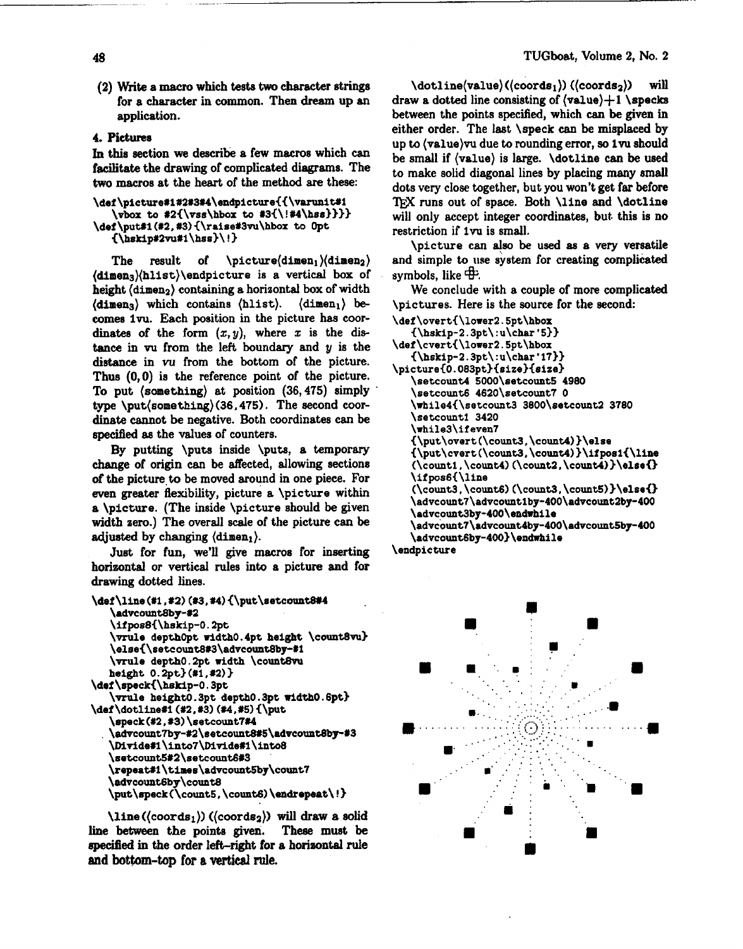(2) **Wte** a **macro** which tests two character strings for a character in common. Then dream up an application.

## 4. **Pictures**

In this section we describe a few macros which **can**  facilitate the drawing of complicated diagrams. The two macros at the heart of the method are these:

```
\def\picture#1#2#3#4\endpicture{{\varunit#i
   \v{vbox to #2{\vss\hbox{\thinspace}+3{\1#4\hbox{\tt}+4}}\def \put#l (#a, #3) (\raise#3vu\hbox to Opt 
   (\hs~p#2vu#l\hss~\ !
```
The result of  $\pi_1(\text{dimen}_1)(\text{dimen}_2)$ **(dirnen3)(hlist)\endpicture** is a vertical box of height (dimen<sub>2</sub>) containing a horizontal box of width (dimen<sub>3</sub>) which contains (hlist). (dimen<sub>1</sub>) becomes **lvu.** Each position in the picture has coordinates of the form  $(x, y)$ , where x is the distance in **vu** from the left boundary and y is the **distance** in **vu** from the bottom of the picture. Thus **(0,O)** is the reference point of the picture. To put **(something)** at position **(36,475)** simply type **\put(something) (36,475).** The second coordinate cannot be negative. Both coordinates can be specified as the values of counters.

By putting **\puts** inside **\puts,** a temporary change of origin can be affected, allowing sections of the picture, to be moved around in one piece. For even greater flexibility, picture a **\picture** within a **\picture.** (The inside **\picture** should be given width zero.) The overall scale of the picture can be adjusted by changing  $\langle$  dimen<sub>1</sub> $\rangle$ .

Just for fun, we'll give macros for inserting horizontal or vertical rules into a picture and for drawing dotted lines.

```
\def \line (11. #2) (113, Xa) (\put\aetcountS#4 
   \advcountSby-#2 
   \if pos8(\hekip-0.2pt 
   \mule depthopt vidthO.4pt heighc \cmt8vu> 
   \else~\setcount8#3\advcount8by-#l 
   \mule depth0.2pt width \countsvu 
   height 0.2pt) (ti, #2) 3 
\def \apeck(\h~kip-0.3pt 
   \vnile height0.3pt depth0.3pt width0.6pt) 
\def \dotliner1 (#a, 13) (~4, #5) (\put 
   \speck (#2, #3) \setcount7#4 
   \sdvcount7by-#2\setcount8#5\.dvcotmteby-#3 
   \Divide#1\into7\Divide#1\into8
   \sotcount5#2\aetcount6#3 
   \rep~a#i\tlmes\ad~~0unt5b~\co\mt7 
   \advcount6by\count8 
   \put\epeck(\count5, \couut6) \endropeat\ ! 3
```
 $\langle$ line  $((\text{coords}_1))$   $((\text{coords}_2))$  will draw a solid line between the points given. These must be specified in the order left-right for a horizontal rule and bottom-top for **a vertical rule.** 

\dotline(value)((coords<sub>1</sub>))((coords<sub>2</sub>)) will draw **a** dotted line consisting of **(value)+l \specks**  between the points specified, which can be given in either order. The last **\speck** can be misplaced by up to **(va1ue)vu** due **to** rounding error, so **Ivu** should be smdl if **(value)** is large. **\dotline** can be used to make solid diagonal lines by placing **many** small dots very close together, but you won't get far before TFX runs out of space. Both **\line** and **\dotline** will only accept integer coordinates, but this is no restriction if **lvu** is small.

**\picture** can also **be** used as a very versatile and simple to use system for creating complicated symbols, like  $\oplus$ .

We conclude with a couple of more complicated **\pictures.** Here is the source for the second:

```
\def \overt~\lorer2.5pt\hbox 
   \{\hbox{\scriptsize\verb|skip-2.3pt|:u\char'5}\}\def\cvert{\lower2.5pt\hbox
   <\hskip-2.3pt\ : u\char '173) 
\picture{0.083pt}{size}{size}
   \setcountcl 5000\setcount5 4980 
   \setcount6 4620\setcount7 0 
   \while4{\setcount3 3800\setcount2 3780
   \setcount1 3420 
   \while3\if even7 
   C\put\overt(\count3, \count41 )\else 
   (\put\cvert (\count3, \count4) )\if poel(\line 
   (\countl, \count4> (\count2, \count4))\elseO 
   \ifpos6(\line 
   (\count3. \count6) (\come, \count5) )\else0 
   \advcount7\advcountlby-400\advcount2by-400 
   \advcount3by-400\endrhile 
   \advcount7\advcount4by-400\advcount5by-400 
   \advcount6by-40O)\endrhile 
\endpicture
```